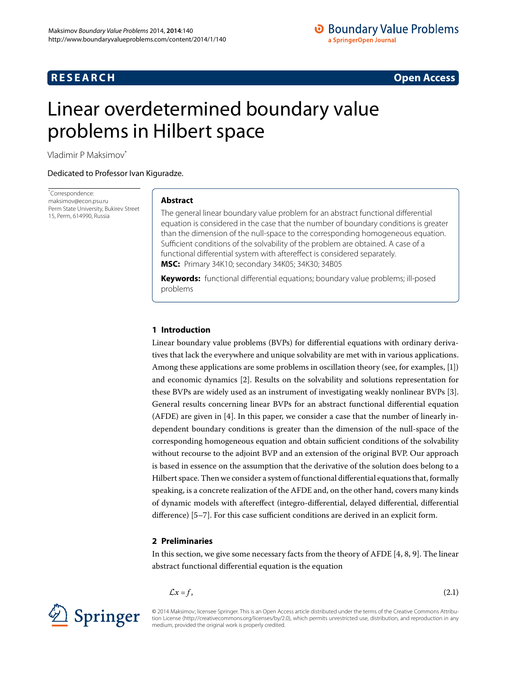# **RESEARCH CONSTRUCTER ACCESS**

# <span id="page-0-0"></span>Linear overdetermined boundary value problems in Hilbert space

Vladimir P Maksimo[v\\*](#page-0-0)

Dedicated to Professor Ivan Kiguradze.

\* Correspondence: [maksimov@econ.psu.ru](mailto:maksimov@econ.psu.ru) Perm State University, Bukirev Street 15, Perm, 614990, Russia

## **Abstract**

The general linear boundary value problem for an abstract functional differential equation is considered in the case that the number of boundary conditions is greater than the dimension of the null-space to the corresponding homogeneous equation. Sufficient conditions of the solvability of the problem are obtained. A case of a functional differential system with aftereffect is considered separately. **MSC:** Primary 34K10; secondary 34K05; 34K30; 34B05

**Keywords:** functional differential equations; boundary value problems; ill-posed problems

## **1 Introduction**

Linear boundary value problems (BVPs) for differential equations with ordinary derivatives that lack the everywhere and unique solvability are met with in various applications. Among these applications are some problems in oscillation theory (see, for examples, [\[\]](#page-10-0)) and economic dynamics [[\]](#page-10-1). Results on the solvability and solutions representation for these BVPs are widely used as an instrument of investigating weakly nonlinear BVPs [[\]](#page-10-2). General results concerning linear BVPs for an abstract functional differential equation (AFDE) are given in  $[4]$  $[4]$ . In this paper, we consider a case that the number of linearly independent boundary conditions is greater than the dimension of the null-space of the corresponding homogeneous equation and obtain sufficient conditions of the solvability without recourse to the adjoint BVP and an extension of the original BVP. Our approach is based in essence on the assumption that the derivative of the solution does belong to a Hilbert space. Then we consider a system of functional differential equations that, formally speaking, is a concrete realization of the AFDE and, on the other hand, covers many kinds of dynamic models with aftereffect (integro-differential, delayed differential, differential difference)  $[5-7]$  $[5-7]$ . For this case sufficient conditions are derived in an explicit form.

## <span id="page-0-1"></span>**2 Preliminaries**

In this section, we give some necessary facts from the theory of AFDE  $[4, 8, 9]$  $[4, 8, 9]$ . The linear abstract functional differential equation is the equation

$$
\mathcal{L}x = f,\tag{2.1}
$$





© 2014 Maksimov; licensee Springer. This is an Open Access article distributed under the terms of the Creative Commons Attribution License (http://creativecommons.org/licenses/by/2.0), which permits unrestricted use, distribution, and reproduction in any medium, provided the original work is properly credited.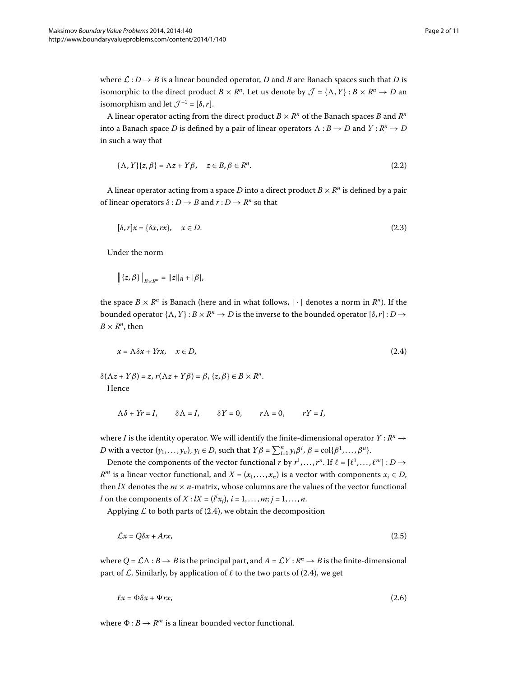where  $\mathcal{L}: D \to B$  is a linear bounded operator, *D* and *B* are Banach spaces such that *D* is isomorphic to the direct product  $B \times R^n$ . Let us denote by  $\mathcal{J} = {\Lambda, Y} : B \times R^n \to D$  and isomorphism and let  $\mathcal{J}^{-1} = [\delta, r]$ .

A linear operator acting from the direct product  $B \times R^n$  of the Banach spaces *B* and  $R^n$ into a Banach space  $D$  is defined by a pair of linear operators  $\Lambda:B\to D$  and  $Y:R^n\to D$ in such a way that

<span id="page-1-3"></span>
$$
\{\Lambda, Y\}\{z, \beta\} = \Lambda z + Y\beta, \quad z \in B, \beta \in \mathbb{R}^n. \tag{2.2}
$$

A linear operator acting from a space *D* into a direct product  $B \times R^n$  is defined by a pair of linear operators  $\delta$  :  $D \rightarrow B$  and  $r : D \rightarrow R^n$  so that

$$
[\delta, r]x = \{\delta x, rx\}, \quad x \in D. \tag{2.3}
$$

Under the norm

<span id="page-1-0"></span>
$$
\left\|\left\{z,\beta\right\}\right\|_{B\times R^n}=\|z\|_B+|\beta|,
$$

the space  $B \times R^n$  is Banach (here and in what follows,  $|\cdot|$  denotes a norm in  $R^n$ ). If the bounded operator  $\{\Lambda, Y\} : B \times R^n \to D$  is the inverse to the bounded operator  $[\delta, r] : D \to D$  $B \times R^n$ , then

$$
x = \Lambda \delta x + Yrx, \quad x \in D,\tag{2.4}
$$

 $\delta(\Lambda z + Y\beta) = z$ ,  $r(\Lambda z + Y\beta) = \beta$ ,  $\{z, \beta\} \in B \times R^n$ . Hence

<span id="page-1-1"></span>
$$
\Lambda \delta + Yr = I, \qquad \delta \Lambda = I, \qquad \delta Y = 0, \qquad r\Lambda = 0, \qquad rY = I,
$$

where *I* is the identity operator. We will identify the finite-dimensional operator  $Y : R^n \to$ *D* with a vector  $(y_1, \ldots, y_n)$ ,  $y_i \in D$ , such that  $Y\beta = \sum_{i=1}^n y_i \beta^i$ ,  $\beta = \text{col}\{\beta^1, \ldots, \beta^n\}$ .

Denote the components of the vector functional *r* by  $r^1, \ldots, r^n$ . If  $\ell = [\ell^1, \ldots, \ell^m] : D \rightarrow$ *R*<sup>*m*</sup> is a linear vector functional, and *X* = ( $x_1, \ldots, x_n$ ) is a vector with components  $x_i \in D$ , then *lX* denotes the  $m \times n$ -matrix, whose columns are the values of the vector functional *l* on the components of *X* :  $lX = (l^ix_j), i = 1, ..., m; j = 1, ..., n$ .

Applying  $\mathcal L$  to both parts of (2[.](#page-1-0)4), we obtain the decomposition

<span id="page-1-2"></span>
$$
\mathcal{L}x = Q\delta x + Arx,\tag{2.5}
$$

where  $Q = \mathcal{L}\Lambda : B \to B$  is the principal part, and  $A = \mathcal{L}Y : R^n \to B$  is the finite-dimensional part of  $\mathcal L$ [.](#page-1-0) Similarly, by application of  $\ell$  to the two parts of (2.4), we get

$$
\ell x = \Phi \delta x + \Psi r x, \tag{2.6}
$$

where  $\Phi : B \to R^m$  is a linear bounded vector functional.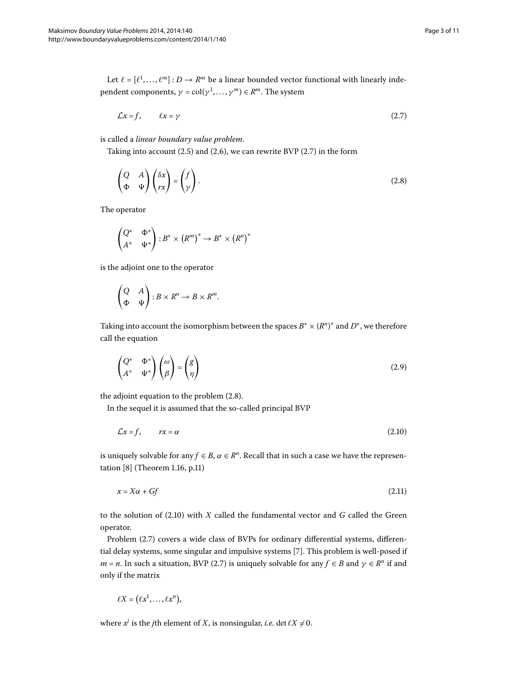Let  $\ell = [\ell^1, ..., \ell^m] : D \to R^m$  be a linear bounded vector functional with linearly independent components,  $\gamma = \text{col}(\gamma^1, \dots, \gamma^m) \in R^m$ . The system

<span id="page-2-1"></span><span id="page-2-0"></span>
$$
\mathcal{L}x = f, \qquad \ell x = \gamma \tag{2.7}
$$

is called a *linear boundary value problem*.

Taking into account (2[.](#page-2-0)5) and (2.6), we can rewrite BVP (2.7) in the form

$$
\begin{pmatrix} Q & A \\ \Phi & \Psi \end{pmatrix} \begin{pmatrix} \delta x \\ rx \end{pmatrix} = \begin{pmatrix} f \\ \gamma \end{pmatrix}.
$$
 (2.8)

The operator

$$
\begin{pmatrix} Q^* & \Phi^* \\ A^* & \Psi^* \end{pmatrix} : B^* \times (R^m)^* \to B^* \times (R^n)^*
$$

is the adjoint one to the operator

<span id="page-2-3"></span>
$$
\begin{pmatrix} Q & A \\ \Phi & \Psi \end{pmatrix} : B \times R^n \to B \times R^m.
$$

Taking into account the isomorphism between the spaces  $B^* \times (R^n)^*$  and  $D^*$ , we therefore call the equation

<span id="page-2-2"></span>
$$
\begin{pmatrix} Q^* & \Phi^* \\ A^* & \Psi^* \end{pmatrix} \begin{pmatrix} \omega \\ \beta \end{pmatrix} = \begin{pmatrix} g \\ \eta \end{pmatrix}
$$
 (2.9)

the adjoint equation to the problem  $(2.8)$ .

In the sequel it is assumed that the so-called principal BVP

$$
\mathcal{L}x = f, \qquad rx = \alpha \tag{2.10}
$$

is uniquely solvable for any  $f \in B$ ,  $\alpha \in R^n$ . Recall that in such a case we have the representation  $[8]$  $[8]$  (Theorem 1.16, p.11)

$$
x = X\alpha + Gf \tag{2.11}
$$

to the solution of  $(2.10)$  $(2.10)$  $(2.10)$  with *X* called the fundamental vector and *G* called the Green operator.

Problem (2.7) covers a wide class of BVPs for ordinary differential systems, differen-tial delay systems, some singular and impulsive systems [7[\]](#page-10-5). This problem is well-posed if *m* = *n*. In such a situation, BVP (2.7) is uniquely solvable for any  $f \in B$  and  $\gamma \in R^n$  if and only if the matrix

$$
\ell X = (\ell x^1, \ldots, \ell x^n),
$$

where  $x^j$  is the *j*th element of *X*, is nonsingular, *i.e.* det  $\ell X \neq 0$ .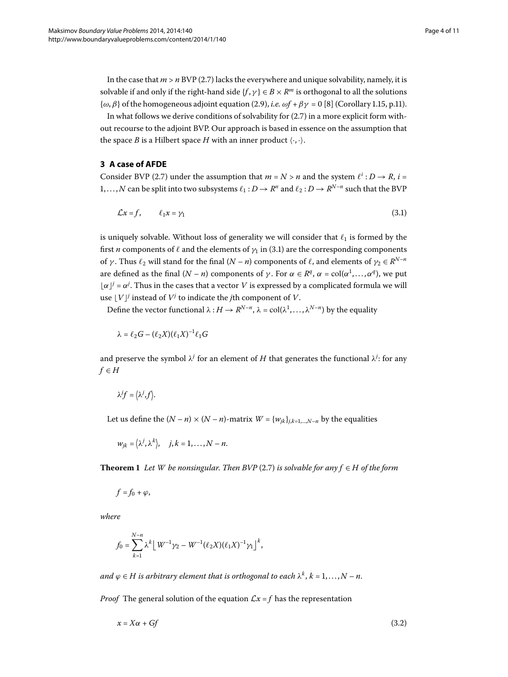<span id="page-3-2"></span>In the case that  $m > n$  BVP (2.7) lacks the everywhere and unique solvability, namely, it is solvable if and only if the right-hand side  $\{f, \gamma\} \in B \times R^m$  is orthogonal to all the solutions  $\{\omega, \beta\}$  of the homogeneous adjoint equation (2[.](#page-2-3)9), *i.e.*  $\omega f + \beta \gamma = 0$  [\[](#page-10-6)8] (Corollary 1.15, p.11).

In what follows we derive conditions of solvability for  $(2.7)$  in a more explicit form without recourse to the adjoint BVP. Our approach is based in essence on the assumption that the space *B* is a Hilbert space *H* with an inner product  $\langle \cdot, \cdot \rangle$ .

## **3 A case of AFDE**

Consider BVP (2.7) under the assumption that  $m = N > n$  and the system  $\ell^i : D \to R$ ,  $i =$ 1,..., N can be split into two subsystems  $\ell_1: D \to R^n$  and  $\ell_2: D \to R^{N-n}$  such that the BVP

<span id="page-3-0"></span>
$$
\mathcal{L}x = f, \qquad \ell_1 x = \gamma_1 \tag{3.1}
$$

is uniquely solvable. Without loss of generality we will consider that  $\ell_1$  is formed by the first *n* components of  $\ell$  and the elements of  $\gamma_1$  in (3[.](#page-3-0)1) are the corresponding components of *γ*. Thus  $\ell_2$  will stand for the final  $(N - n)$  components of  $\ell$ , and elements of  $\gamma_2 \in R^{N-n}$ are defined as the final  $(N - n)$  components of  $\gamma$ . For  $\alpha \in R^q$ ,  $\alpha = col(\alpha^1, \dots, \alpha^q)$ , we put  $\lfloor \alpha \rfloor^j = \alpha^j$ . Thus in the cases that a vector *V* is expressed by a complicated formula we will use  $\lfloor V \rfloor$ <sup>*j*</sup> instead of  $V$ <sup>*j*</sup> to indicate the *j*th component of *V*.

Define the vector functional  $\lambda : H \to R^{N-n}$ ,  $\lambda = col(\lambda^1, ..., \lambda^{N-n})$  by the equality

$$
\lambda = \ell_2 G - (\ell_2 X)(\ell_1 X)^{-1} \ell_1 G
$$

and preserve the symbol  $\lambda^j$  for an element of  $H$  that generates the functional  $\lambda^j$ : for any  $f \in H$ 

$$
\lambda^j f = \langle \lambda^j, f \rangle.
$$

Let us define the  $(N - n) \times (N - n)$ -matrix  $W = \{w_{jk}\}_{j,k=1,\dots,N-n}$  by the equalities

$$
w_{jk} = \langle \lambda^j, \lambda^k \rangle, \quad j, k = 1, \dots, N - n.
$$

**Theorem 1** Let W be nonsingular. Then BVP (2.7) is solvable for any  $f \in H$  of the form

$$
f=f_0+\varphi,
$$

*where*

<span id="page-3-1"></span>
$$
f_0 = \sum_{k=1}^{N-n} \lambda^k \left[ W^{-1} \gamma_2 - W^{-1} (\ell_2 X) (\ell_1 X)^{-1} \gamma_1 \right]^k,
$$

*and*  $\varphi \in H$  *is arbitrary element that is orthogonal to each*  $\lambda^k$ ,  $k = 1, ..., N - n$ .

*Proof* The general solution of the equation  $\mathcal{L}x = f$  has the representation

$$
x = X\alpha + Gf \tag{3.2}
$$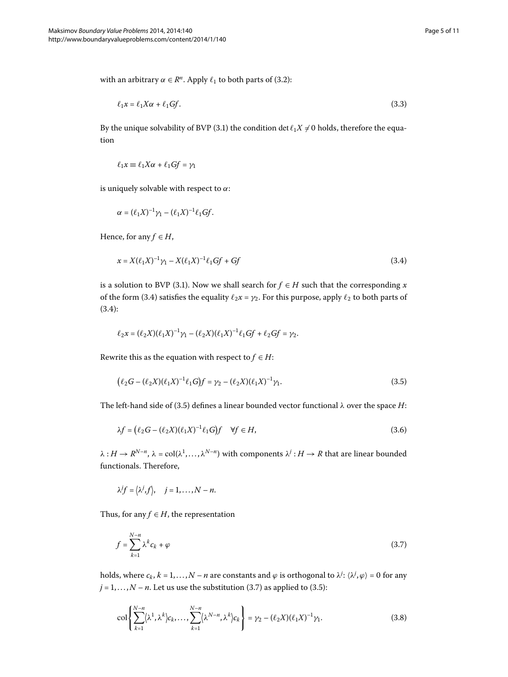with an arbitrary  $\alpha \in \mathbb{R}^n$ [.](#page-3-1) Apply  $\ell_1$  to both parts of (3.2):

$$
\ell_1 x = \ell_1 X \alpha + \ell_1 G f. \tag{3.3}
$$

By the unique solvability of BVP (3.1) the condition det  $\ell_1 X \neq 0$  holds, therefore the equation

<span id="page-4-0"></span>
$$
\ell_1 x \equiv \ell_1 X \alpha + \ell_1 G f = \gamma_1
$$

is uniquely solvable with respect to *α*:

$$
\alpha = (\ell_1 X)^{-1} \gamma_1 - (\ell_1 X)^{-1} \ell_1 G f.
$$

Hence, for any  $f \in H$ ,

$$
x = X(\ell_1 X)^{-1} \gamma_1 - X(\ell_1 X)^{-1} \ell_1 G f + G f \tag{3.4}
$$

is a solution to BVP (3[.](#page-3-0)1). Now we shall search for  $f \in H$  such that the corresponding *x* of the form (3[.](#page-4-0)4) satisfies the equality  $\ell_2 x = \gamma_2$ . For this purpose, apply  $\ell_2$  to both parts of  $(3.4):$  $(3.4):$  $(3.4):$ 

<span id="page-4-1"></span>
$$
\ell_2 x = (\ell_2 X)(\ell_1 X)^{-1} \gamma_1 - (\ell_2 X)(\ell_1 X)^{-1} \ell_1 G f + \ell_2 G f = \gamma_2.
$$

Rewrite this as the equation with respect to  $f \in H$ :

$$
(\ell_2 G - (\ell_2 X)(\ell_1 X)^{-1} \ell_1 G) f = \gamma_2 - (\ell_2 X)(\ell_1 X)^{-1} \gamma_1.
$$
\n(3.5)

The left-hand side of (3.5) defines a linear bounded vector functional  $\lambda$  over the space *H*:

$$
\lambda f = (\ell_2 G - (\ell_2 X)(\ell_1 X)^{-1} \ell_1 G) f \quad \forall f \in H,
$$
\n(3.6)

 $\lambda: H \to R^{N-n}$ ,  $\lambda = \text{col}(\lambda^1, \ldots, \lambda^{N-n})$  with components  $\lambda^j: H \to R$  that are linear bounded functionals. Therefore,

<span id="page-4-2"></span>
$$
\lambda^j f = \langle \lambda^j, f \rangle, \quad j = 1, \dots, N - n.
$$

Thus, for any  $f \in H$ , the representation

<span id="page-4-3"></span>
$$
f = \sum_{k=1}^{N-n} \lambda^k c_k + \varphi \tag{3.7}
$$

holds, where  $c_k$ ,  $k = 1, ..., N - n$  are constants and  $\varphi$  is orthogonal to  $\lambda^j$ :  $\langle \lambda^j, \varphi \rangle = 0$  for any  $j = 1, \ldots, N - n$ . Let us use the substitution (3.7) as applied to (3.5):

$$
\text{col}\left\{\sum_{k=1}^{N-n}(\lambda^1,\lambda^k)c_k,\ldots,\sum_{k=1}^{N-n}(\lambda^{N-n},\lambda^k)c_k\right\} = \gamma_2 - (\ell_2 X)(\ell_1 X)^{-1}\gamma_1. \tag{3.8}
$$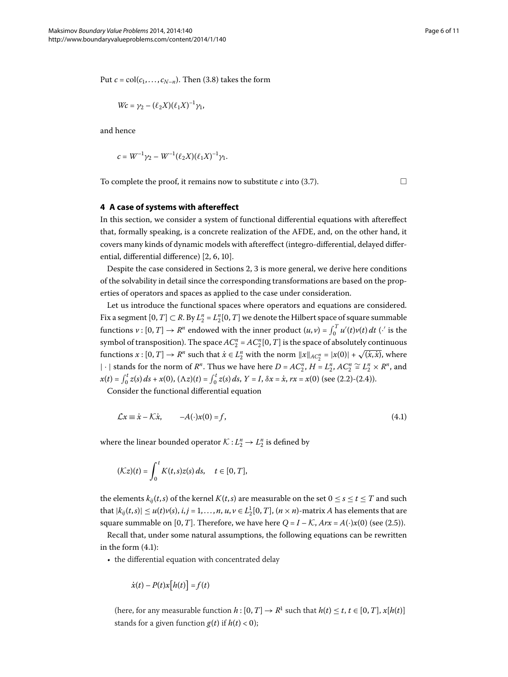Put  $c = col(c_1, \ldots, c_{N-n})$ . Then (3.8) takes the form

$$
Wc = \gamma_2 - (\ell_2 X)(\ell_1 X)^{-1} \gamma_1,
$$

and hence

$$
c = W^{-1} \gamma_2 - W^{-1} (\ell_2 X) (\ell_1 X)^{-1} \gamma_1.
$$

To complete the proof, it remains now to substitute *c* into (3.7).  $\Box$ 

<span id="page-5-0"></span>

## **4 A case of systems with aftereffect**

In this section, we consider a system of functional differential equations with aftereffect that, formally speaking, is a concrete realization of the AFDE, and, on the other hand, it covers many kinds of dynamic models with aftereffect (integro-differential, delayed differential, differential difference)  $[2, 6, 10]$  $[2, 6, 10]$  $[2, 6, 10]$ .

Despite the case considered in Sections 2, 3 is more general, we derive here conditions of the solvability in detail since the corresponding transformations are based on the properties of operators and spaces as applied to the case under consideration.

Let us introduce the functional spaces where operators and equations are considered. Fix a segment  $[0, T] \subset R$ . By  $L_2^n = L_2^n[0, T]$  we denote the Hilbert space of square summable functions  $v : [0, T] \to R^n$  endowed with the inner product  $(u, v) = \int_0^T u'(t)v(t) dt$  ( $\cdot'$  is the symbol of transposition). The space  $AC_2^n$  =  $AC_2^n$  [0, *T*] is the space of absolutely continuous functions  $x : [0, T] \to R^n$  such that  $\dot{x} \in L_2^n$  with the norm  $||x||_{AC_2^n} = |x(0)| + \sqrt{(\dot{x}, \dot{x})}$ , where  $| \cdot |$  stands for the norm of *R<sup>n</sup>*. Thus we have here *D* = *AC*<sup>*n*</sup>, *H* = *L*<sup>*n*</sup>, *AC*<sup>*n*</sup>  $\cong L_2^n \times R^n$ , and  $x(t) = \int_0^t z(s) ds + x(0), (\Lambda z)(t) = \int_0^t z(s) ds, Y = I, \delta x = \dot{x}, rx = x(0) \text{ (see (2.2)-(2.4))}.$  $x(t) = \int_0^t z(s) ds + x(0), (\Lambda z)(t) = \int_0^t z(s) ds, Y = I, \delta x = \dot{x}, rx = x(0) \text{ (see (2.2)-(2.4))}.$  $x(t) = \int_0^t z(s) ds + x(0), (\Lambda z)(t) = \int_0^t z(s) ds, Y = I, \delta x = \dot{x}, rx = x(0) \text{ (see (2.2)-(2.4))}.$ 

Consider the functional differential equation

$$
\mathcal{L}x \equiv \dot{x} - \mathcal{K}\dot{x}, \qquad -A(\cdot)x(0) = f,\tag{4.1}
$$

where the linear bounded operator  $\mathcal{K}: L_2^n \to L_2^n$  is defined by

$$
(\mathcal{K}z)(t)=\int_0^t K(t,s)z(s)\,ds,\quad t\in[0,T],
$$

the elements  $k_{ij}(t, s)$  of the kernel  $K(t, s)$  are measurable on the set  $0 \le s \le t \le T$  and such that  $|k_{ij}(t,s)| \leq u(t)v(s)$ ,  $i, j = 1, ..., n$ ,  $u, v \in L_2^1[0, T]$ ,  $(n \times n)$ -matrix *A* has elements that are square summable on [0, *T*]. Therefore, we have here  $Q = I - K$ ,  $Arx = A(\cdot)x(0)$  (see (2.5)).

Recall that, under some natural assumptions, the following equations can be rewritten in the form  $(4.1)$  $(4.1)$  $(4.1)$ :

• the differential equation with concentrated delay

$$
\dot{x}(t) - P(t)x[h(t)] = f(t)
$$

(here, for any measurable function  $h: [0, T] \to \mathbb{R}^1$  such that  $h(t) \le t, t \in [0, T]$ ,  $x[h(t)]$ stands for a given function  $g(t)$  if  $h(t) < 0$ );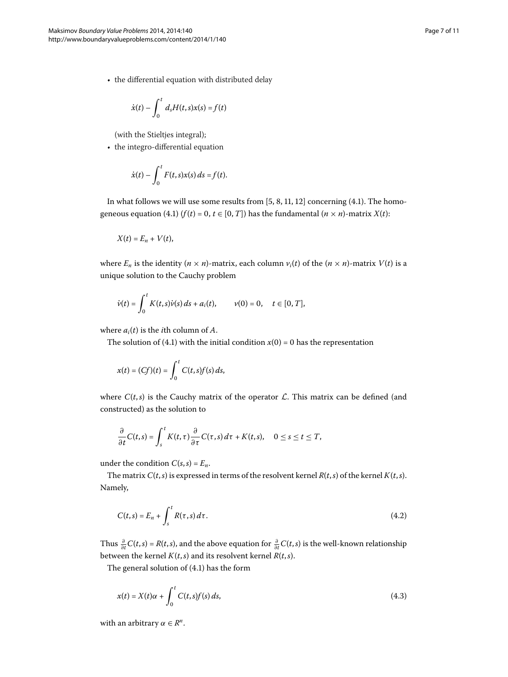$$
\dot{x}(t) - \int_0^t d_s H(t,s)x(s) = f(t)
$$

(with the Stieltjes integral);

• the integro-differential equation

$$
\dot{x}(t) - \int_0^t F(t,s)x(s) \, ds = f(t).
$$

In what follows we will use some results from  $[5, 8, 11, 12]$  $[5, 8, 11, 12]$  $[5, 8, 11, 12]$  concerning (4.1). The homo-geneous equation (4[.](#page-5-0)1)  $(f(t) = 0, t \in [0, T])$  has the fundamental  $(n \times n)$ -matrix  $X(t)$ :

$$
X(t) = E_n + V(t),
$$

where  $E_n$  is the identity  $(n \times n)$ -matrix, each column  $v_i(t)$  of the  $(n \times n)$ -matrix  $V(t)$  is a unique solution to the Cauchy problem

$$
\dot{v}(t) = \int_0^t K(t,s)\dot{v}(s) \, ds + a_i(t), \qquad v(0) = 0, \quad t \in [0,T],
$$

where  $a_i(t)$  is the *i*th column of *A*.

The solution of (4.1) with the initial condition  $x(0) = 0$  has the representation

$$
x(t) = (Cf)(t) = \int_0^t C(t,s)f(s) ds,
$$

where  $C(t,s)$  is the Cauchy matrix of the operator  $\mathcal L$ . This matrix can be defined (and constructed) as the solution to

<span id="page-6-1"></span>
$$
\frac{\partial}{\partial t}C(t,s)=\int_{s}^{t}K(t,\tau)\frac{\partial}{\partial \tau}C(\tau,s)\,d\tau+K(t,s),\quad 0\leq s\leq t\leq T,
$$

under the condition  $C(s, s) = E_n$ .

The matrix  $C(t, s)$  is expressed in terms of the resolvent kernel  $R(t, s)$  of the kernel  $K(t, s)$ . Namely,

<span id="page-6-0"></span>
$$
C(t,s) = E_n + \int_s^t R(\tau,s) d\tau.
$$
\n(4.2)

Thus  $\frac{\partial}{\partial t} C(t,s) = R(t,s)$ , and the above equation for  $\frac{\partial}{\partial t} C(t,s)$  is the well-known relationship between the kernel  $K(t, s)$  and its resolvent kernel  $R(t, s)$ .

The general solution of  $(4.1)$  has the form

$$
x(t) = X(t)\alpha + \int_0^t C(t,s)f(s) ds,
$$
\n(4.3)

with an arbitrary  $\alpha \in R^n$ .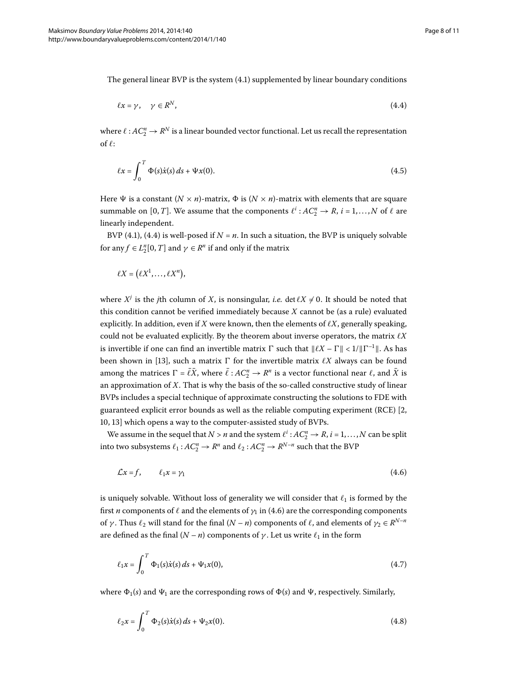The general linear BVP is the system  $(4.1)$  $(4.1)$  $(4.1)$  supplemented by linear boundary conditions

<span id="page-7-2"></span><span id="page-7-0"></span>
$$
\ell x = \gamma, \quad \gamma \in \mathbb{R}^N, \tag{4.4}
$$

where  $\ell$  :  $AC_2^n \rightarrow R^N$  is a linear bounded vector functional. Let us recall the representation of  $\ell$ :

$$
\ell x = \int_0^T \Phi(s) \dot{x}(s) \, ds + \Psi x(0). \tag{4.5}
$$

Here  $\Psi$  is a constant  $(N \times n)$ -matrix,  $\Phi$  is  $(N \times n)$ -matrix with elements that are square summable on [0, *T*]. We assume that the components  $\ell^i : AC_2^n \to R$ ,  $i = 1,...,N$  of  $\ell$  are linearly independent.

BVP (4.1), (4.4) is well-posed if  $N = n$ . In such a situation, the BVP is uniquely solvable for any  $f \in L_2^n[0, T]$  and  $\gamma \in R^n$  if and only if the matrix

$$
\ell X = (\ell X^1, \ldots, \ell X^n),
$$

where  $X^j$  is the *j*th column of *X*, is nonsingular, *i.e.* det  $\ell X \neq 0$ . It should be noted that this condition cannot be verified immediately because *X* cannot be (as a rule) evaluated explicitly. In addition, even if *X* were known, then the elements of  $\ell X$ , generally speaking, could not be evaluated explicitly. By the theorem about inverse operators, the matrix *X* is invertible if one can find an invertible matrix  $\Gamma$  such that  $\|\ell X - \Gamma\| < 1/\|\Gamma^{-1}\|$ . As has been shown in [\[](#page-10-12)13], such a matrix  $\Gamma$  for the invertible matrix  $\ell X$  always can be found among the matrices  $\Gamma = \bar{\ell} \bar{X}$ , where  $\bar{\ell}: A C_2^n \to R^n$  is a vector functional near  $\ell$ , and  $\bar{X}$  is an approximation of *X*. That is why the basis of the so-called constructive study of linear BVPs includes a special technique of approximate constructing the solutions to FDE with guaranteed explicit error bounds as well as the reliable computing experiment (RCE)  $[2, 1]$  $[2, 1]$  $[2, 1]$ 10[,](#page-10-9) 13] which opens a way to the computer-assisted study of BVPs.

We assume in the sequel that  $N > n$  and the system  $\ell^i : AC_2^n \to R$ ,  $i = 1, ..., N$  can be split into two subsystems  $\ell_1$ :  $AC_2^n \rightarrow R^n$  and  $\ell_2$ :  $AC_2^n \rightarrow R^{N-n}$  such that the BVP

<span id="page-7-1"></span>
$$
\mathcal{L}x = f, \qquad \ell_1 x = \gamma_1 \tag{4.6}
$$

is uniquely solvable. Without loss of generality we will consider that  $\ell_1$  is formed by the first *n* components of  $\ell$  and the elements of  $\gamma_1$  in (4.6) are the corresponding components of *γ*. Thus  $\ell_2$  will stand for the final  $(N - n)$  components of  $\ell$ , and elements of  $\gamma_2 \in R^{N-n}$ are defined as the final  $(N - n)$  components of  $\gamma$ . Let us write  $\ell_1$  in the form

$$
\ell_1 x = \int_0^T \Phi_1(s) \dot{x}(s) \, ds + \Psi_1 x(0), \tag{4.7}
$$

where  $\Phi_1(s)$  and  $\Psi_1$  are the corresponding rows of  $\Phi(s)$  and  $\Psi$ , respectively. Similarly,

$$
\ell_2 x = \int_0^T \Phi_2(s) \dot{x}(s) \, ds + \Psi_2 x(0). \tag{4.8}
$$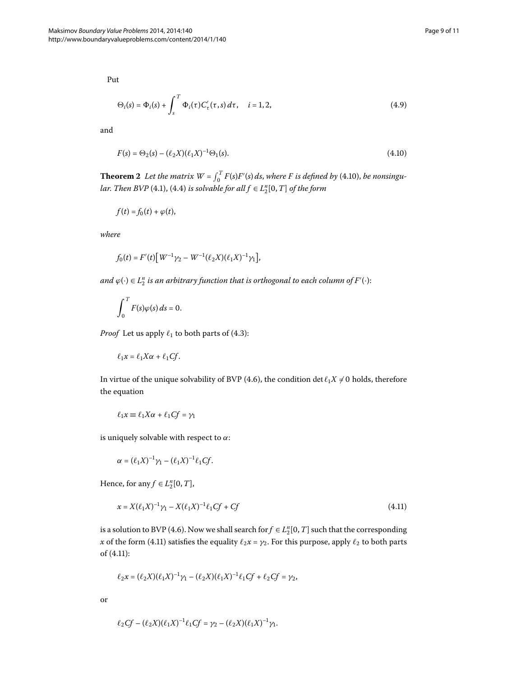<span id="page-8-2"></span>Put

<span id="page-8-0"></span>
$$
\Theta_i(s) = \Phi_i(s) + \int_s^T \Phi_i(\tau) C'_\tau(\tau, s) d\tau, \quad i = 1, 2,
$$
\n(4.9)

and

$$
F(s) = \Theta_2(s) - (\ell_2 X)(\ell_1 X)^{-1} \Theta_1(s). \tag{4.10}
$$

**Theorem 2** Let the matrix  $W = \int_0^T F(s)F'(s) ds$ , where F is defined by (4.10), be nonsingu-*lar[.](#page-5-0) Then BVP* (4.1), (4.4) *is solvable for all*  $f \in L_2^n[0, T]$  *of the form* 

$$
f(t) = f_0(t) + \varphi(t),
$$

*where*

$$
f_0(t) = F'(t) \left[ W^{-1} \gamma_2 - W^{-1} (\ell_2 X) (\ell_1 X)^{-1} \gamma_1 \right],
$$

and  $\varphi(\cdot) \in L_2^n$  is an arbitrary function that is orthogonal to each column of  $F'(\cdot)$ :

$$
\int_0^T F(s)\varphi(s)\,ds=0.
$$

*Proof* Let us apply  $\ell_1$  to both parts of (4.3):

$$
\ell_1 x = \ell_1 X \alpha + \ell_1 C f.
$$

In virtue of the unique solvability of BVP (4.6), the condition det  $\ell_1 X \neq 0$  holds, therefore the equation

<span id="page-8-1"></span>
$$
\ell_1 x \equiv \ell_1 X \alpha + \ell_1 C f = \gamma_1
$$

is uniquely solvable with respect to *α*:

$$
\alpha = (\ell_1 X)^{-1} \gamma_1 - (\ell_1 X)^{-1} \ell_1 C f.
$$

Hence, for any  $f \in L_2^n[0, T]$ ,

$$
x = X(\ell_1 X)^{-1} \gamma_1 - X(\ell_1 X)^{-1} \ell_1 C f + C f \tag{4.11}
$$

is a solution to BVP (4.6). Now we shall search for  $f \in L_2^n[0,T]$  such that the corresponding *x* of the form (4.11) satisfies the equality  $\ell_2 x = \gamma_2$ . For this purpose, apply  $\ell_2$  to both parts of  $(4.11)$ :

$$
\ell_2 x = (\ell_2 X)(\ell_1 X)^{-1} \gamma_1 - (\ell_2 X)(\ell_1 X)^{-1} \ell_1 C f + \ell_2 C f = \gamma_2,
$$

or

$$
\ell_2 C f - (\ell_2 X)(\ell_1 X)^{-1} \ell_1 C f = \gamma_2 - (\ell_2 X)(\ell_1 X)^{-1} \gamma_1.
$$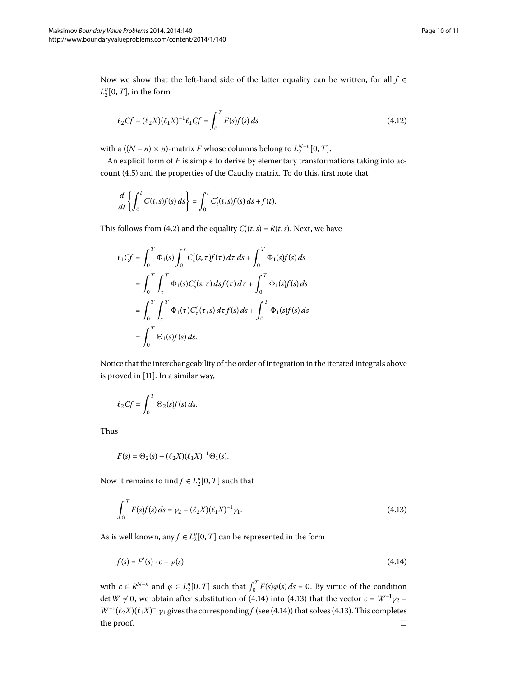Now we show that the left-hand side of the latter equality can be written, for all *f* ∈  $L_2^n[0,T]$ , in the form

$$
\ell_2 C f - (\ell_2 X)(\ell_1 X)^{-1} \ell_1 C f = \int_0^T F(s) f(s) \, ds \tag{4.12}
$$

with a  $((N - n) \times n)$ -matrix *F* whose columns belong to  $L_2^{N-n}[0, T]$ .

An explicit form of *F* is simple to derive by elementary transformations taking into account (4.5) and the properties of the Cauchy matrix. To do this, first note that

$$
\frac{d}{dt}\bigg\{\int_0^t C(t,s)f(s)\,ds\bigg\} = \int_0^t C'_t(t,s)f(s)\,ds + f(t).
$$

This follows from (4[.](#page-6-1)2) and the equality  $C'_t(t,s) = R(t,s)$ . Next, we have

$$
\ell_1 C f = \int_0^T \Phi_1(s) \int_0^s C'_s(s, \tau) f(\tau) d\tau ds + \int_0^T \Phi_1(s) f(s) ds \n= \int_0^T \int_\tau^T \Phi_1(s) C'_s(s, \tau) ds f(\tau) d\tau + \int_0^T \Phi_1(s) f(s) ds \n= \int_0^T \int_s^T \Phi_1(\tau) C'_\tau(\tau, s) d\tau f(s) ds + \int_0^T \Phi_1(s) f(s) ds \n= \int_0^T \Theta_1(s) f(s) ds.
$$

Notice that the interchangeability of the order of integration in the iterated integrals above is proved in  $[11]$  $[11]$ . In a similar way,

$$
\ell_2 C f = \int_0^T \Theta_2(s) f(s) \, ds.
$$

Thus

<span id="page-9-1"></span><span id="page-9-0"></span>
$$
F(s) = \Theta_2(s) - (\ell_2 X)(\ell_1 X)^{-1} \Theta_1(s).
$$

Now it remains to find  $f \in L_2^n[0, T]$  such that

$$
\int_0^T F(s)f(s) \, ds = \gamma_2 - (\ell_2 X)(\ell_1 X)^{-1} \gamma_1. \tag{4.13}
$$

As is well known, any  $f \in L_2^n[0, T]$  can be represented in the form

$$
f(s) = F'(s) \cdot c + \varphi(s) \tag{4.14}
$$

with  $c \in R^{N-n}$  and  $\varphi \in L_2^n[0, T]$  such that  $\int_0^T F(s)\varphi(s) ds = 0$ . By virtue of the condition det  $W \neq 0$ , we obtain after substitution of (4[.](#page-9-0)14) into (4.13) that the vector  $c = W^{-1}\gamma_2$  –  $W^{-1}(\ell_2 X)(\ell_1 X)^{-1} \gamma_1$  gives the corresponding *f* (see (4[.](#page-9-0)14)) that solves (4.13). This completes the proof.  $\Box$